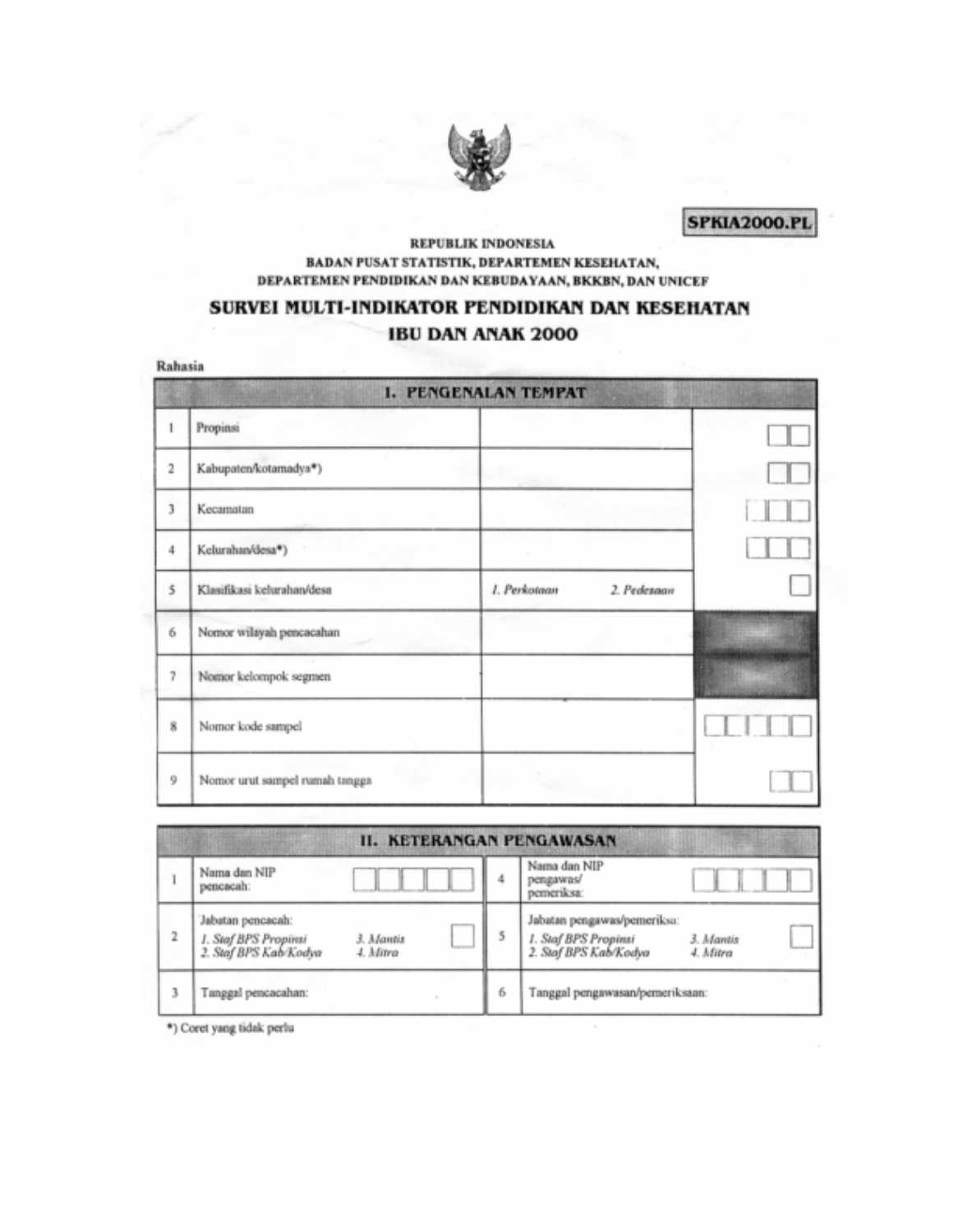

**SPKIA2000.PL** 

#### **REPUBLIK INDONESIA** BADAN PUSAT STATISTIK, DEPARTEMEN KESEHATAN, DEPARTEMEN PENDIDIKAN DAN KEBUDAYAAN, BKKBN, DAN UNICEF

# SURVEI MULTI-INDIKATOR PENDIDIKAN DAN KESEHATAN **IBU DAN ANAK 2000**

Rahasia

|                         |                                | <b>I. PENGENALAN TEMPAT</b> |  |
|-------------------------|--------------------------------|-----------------------------|--|
| 1                       | Propinsi                       |                             |  |
| $\overline{\mathbf{r}}$ | Kabupaten/kotamadya*)          |                             |  |
| 3                       | Kecamatan                      |                             |  |
| 4                       | Kelurahan/desa*)               |                             |  |
| 5                       | Klasifikasi kelurahan/desa     | 1. Perkotaan<br>2. Pedesaan |  |
| 6                       | Nomor wilayah pencacahan       |                             |  |
| 7                       | Nomor kelompok segmen          |                             |  |
| 8                       | Nomor kode sampel              |                             |  |
| 9                       | Nomor urut sampel rumah tangga |                             |  |

|   | <b>II. KETERANGAN PENGAWASAN</b>                                   |                       |   |                                                                              |                       |  |  |  |  |  |  |
|---|--------------------------------------------------------------------|-----------------------|---|------------------------------------------------------------------------------|-----------------------|--|--|--|--|--|--|
|   | Nama dan NIP<br>pencacah:                                          |                       |   | Nama dan NIP<br>pengawas/<br>pemeriksa:                                      |                       |  |  |  |  |  |  |
| 2 | Jabatan pencacah:<br>1. Staf BPS Propinsi<br>2. Staf BPS Kab/Kodya | 3. Mantis<br>4. Mitra |   | Jabatan pengawas/pemeriksa:<br>1. Staf BPS Propinsi<br>2. Staf BPS Kab/Kodya | 3. Mantis<br>4. Mitra |  |  |  |  |  |  |
| 3 | Tanggal pencacahan:                                                |                       | 6 | Tanggal pengawasan/pemeriksaan:                                              |                       |  |  |  |  |  |  |

\*) Coret yang tidak perlu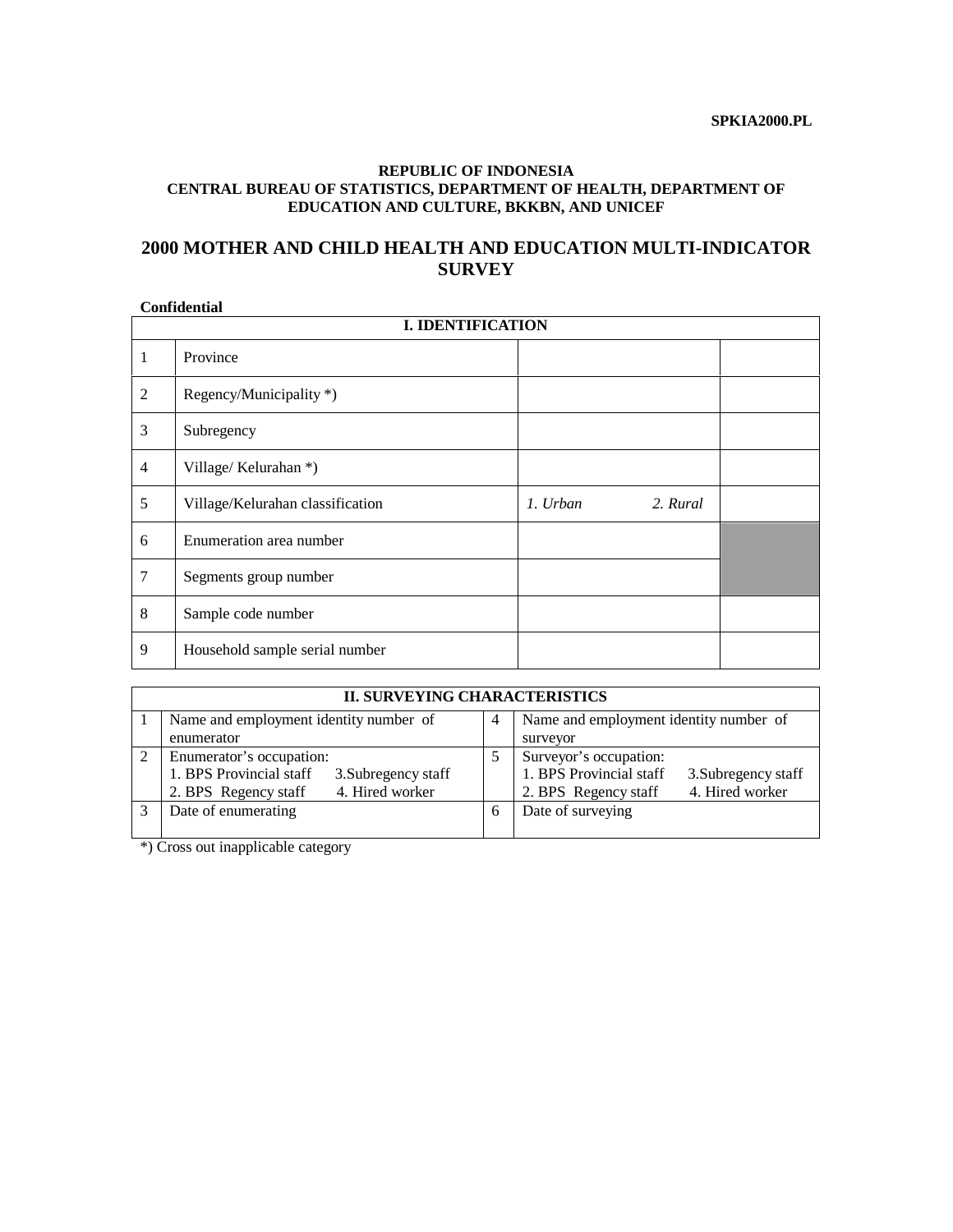#### **REPUBLIC OF INDONESIA CENTRAL BUREAU OF STATISTICS, DEPARTMENT OF HEALTH, DEPARTMENT OF EDUCATION AND CULTURE, BKKBN, AND UNICEF**

### **2000 MOTHER AND CHILD HEALTH AND EDUCATION MULTI-INDICATOR SURVEY**

# **Confidential**

| <b>I. IDENTIFICATION</b> |                                  |          |          |  |  |  |  |  |  |  |  |
|--------------------------|----------------------------------|----------|----------|--|--|--|--|--|--|--|--|
| 1                        | Province                         |          |          |  |  |  |  |  |  |  |  |
| 2                        | Regency/Municipality *)          |          |          |  |  |  |  |  |  |  |  |
| 3                        | Subregency                       |          |          |  |  |  |  |  |  |  |  |
| $\overline{4}$           | Village/Kelurahan *)             |          |          |  |  |  |  |  |  |  |  |
| 5                        | Village/Kelurahan classification | 1. Urban | 2. Rural |  |  |  |  |  |  |  |  |
| 6                        | Enumeration area number          |          |          |  |  |  |  |  |  |  |  |
| 7                        | Segments group number            |          |          |  |  |  |  |  |  |  |  |
| 8                        | Sample code number               |          |          |  |  |  |  |  |  |  |  |
| 9                        | Household sample serial number   |          |          |  |  |  |  |  |  |  |  |

| <b>II. SURVEYING CHARACTERISTICS</b>           |               |                                                |  |  |  |  |  |  |  |  |  |  |
|------------------------------------------------|---------------|------------------------------------------------|--|--|--|--|--|--|--|--|--|--|
| Name and employment identity number of         | 4             | Name and employment identity number of         |  |  |  |  |  |  |  |  |  |  |
| enumerator                                     |               | surveyor                                       |  |  |  |  |  |  |  |  |  |  |
| Enumerator's occupation:                       | $\mathcal{L}$ | Surveyor's occupation:                         |  |  |  |  |  |  |  |  |  |  |
| 1. BPS Provincial staff<br>3. Subregency staff |               | 1. BPS Provincial staff<br>3. Subregency staff |  |  |  |  |  |  |  |  |  |  |
| 4. Hired worker<br>2. BPS Regency staff        |               | 4. Hired worker<br>2. BPS Regency staff        |  |  |  |  |  |  |  |  |  |  |
| Date of enumerating                            | h             | Date of surveying                              |  |  |  |  |  |  |  |  |  |  |
|                                                |               |                                                |  |  |  |  |  |  |  |  |  |  |

\*) Cross out inapplicable category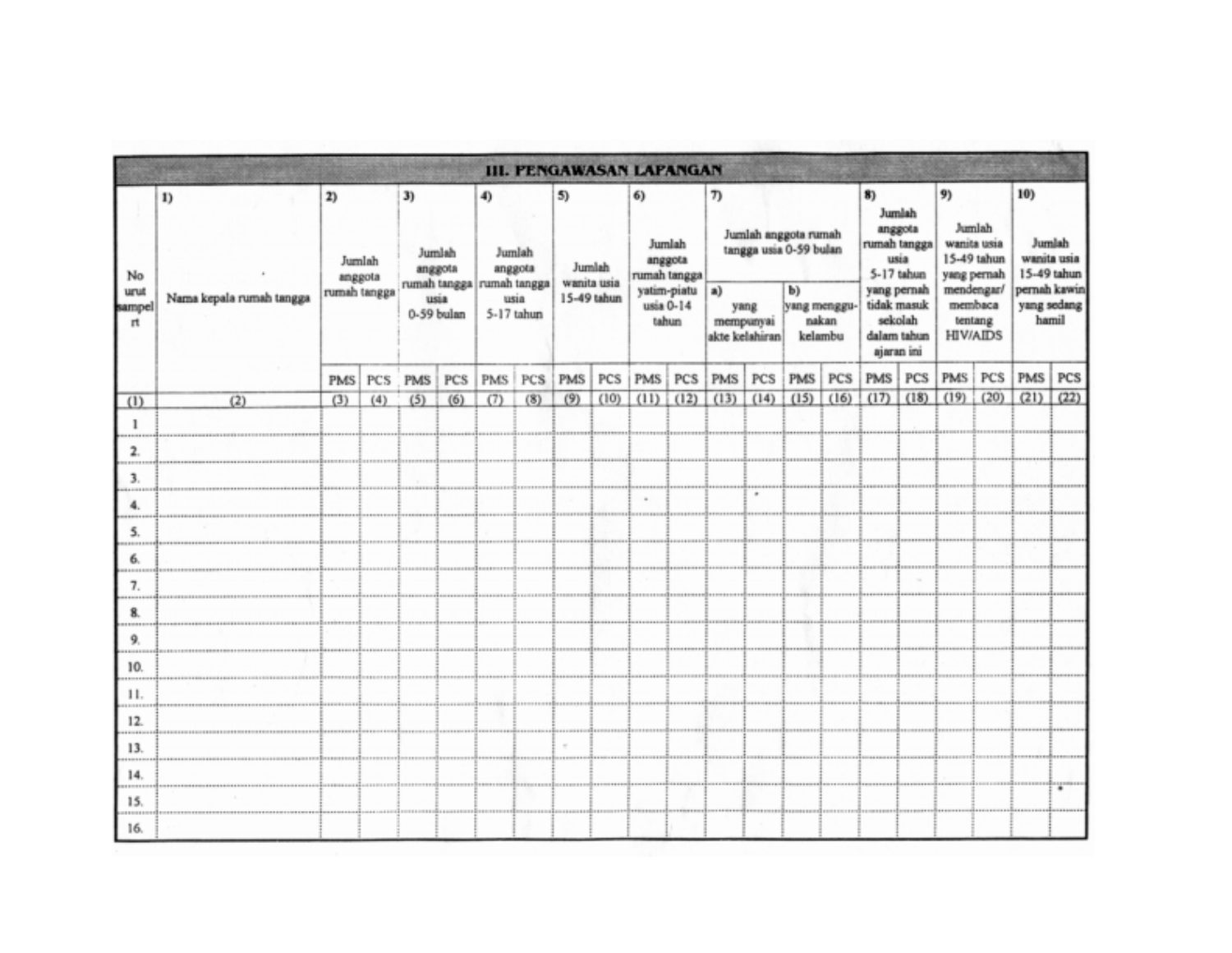|                            |                                |                                         |     |                                               |     |                                                                            |     |                                            |      | <b>III. PENGAWASAN LAPANGAN</b>                                              |      |                |                   |         |                                                                         |                           |                                                                                                  |                                                                                               |      |                                                                                     |         |
|----------------------------|--------------------------------|-----------------------------------------|-----|-----------------------------------------------|-----|----------------------------------------------------------------------------|-----|--------------------------------------------|------|------------------------------------------------------------------------------|------|----------------|-------------------|---------|-------------------------------------------------------------------------|---------------------------|--------------------------------------------------------------------------------------------------|-----------------------------------------------------------------------------------------------|------|-------------------------------------------------------------------------------------|---------|
| No<br>urut<br>sampel<br>rt | 1)<br>Nama kepala rumah tangga | 2)<br>Jumlah<br>anggota<br>rumah tangga |     | 3)<br>Jumlah<br>anggota<br>usia<br>0-59 bulan |     | 4)<br>Jumlah<br>anggota<br>rumah tangga rumah tangga<br>usia<br>5-17 tahun |     | 5)<br>Jumlah<br>wanita usia<br>15-49 tahun |      | 6)<br>Jumlah<br>anggota<br>rumah tangga<br>yatim-piatu<br>usia 0-14<br>tahun |      | $\tau$<br>a)   | yang<br>mempunyai | b)      | Jumlah anggota rumah<br>tangga usia 0-59 bulan<br>yang menggu-<br>nakan |                           | Jumlah<br>anggota<br>rumah tangga<br>usia<br>5-17 tahun<br>yang pernah<br>tidak masuk<br>sekolah | 9)<br>Jumlah<br>wanita usia<br>15-49 tahun<br>yang pernah<br>mendengar/<br>membaca<br>tentang |      | 10)<br>Jumlah<br>wanita usia<br>15-49 tahun<br>pernah kawin<br>yang sedang<br>hamil |         |
|                            |                                |                                         |     |                                               |     |                                                                            |     |                                            |      |                                                                              |      | akte kelahiran |                   | kelambu |                                                                         | dalam tahun<br>ajaran ini |                                                                                                  | <b>HIV/AIDS</b>                                                                               |      |                                                                                     |         |
|                            |                                | <b>PMS</b>                              | PCS | <b>PMS</b>                                    | PCS | PMS                                                                        | PCS | PMS                                        | PCS  | PMS                                                                          | PCS  | PMS            | PCS               | PMS     | PCS                                                                     | PMS                       | PCS                                                                                              | PMS                                                                                           | PCS  | PMS                                                                                 | PCS     |
| (1)<br>1<br>2.             | (2)                            | (3)                                     | (4) | (5)                                           | (6) | (7)                                                                        | (8) | (9)                                        | (10) | (11)                                                                         | (12) | (13)           | (14)              | (15)    | (16)                                                                    | (17)                      | (18)                                                                                             | (19)                                                                                          | (20) | $(21)$ $(22)$                                                                       |         |
| <br>3 <sub>1</sub><br>---- |                                |                                         |     |                                               |     |                                                                            |     |                                            |      |                                                                              |      |                |                   |         |                                                                         |                           |                                                                                                  |                                                                                               |      |                                                                                     |         |
| 4.                         |                                |                                         |     |                                               |     |                                                                            |     |                                            |      | $\sim$                                                                       |      |                |                   |         |                                                                         |                           |                                                                                                  |                                                                                               |      |                                                                                     |         |
| 5.<br>                     |                                |                                         |     |                                               |     |                                                                            |     |                                            |      |                                                                              |      |                |                   |         |                                                                         |                           |                                                                                                  |                                                                                               |      |                                                                                     |         |
| 6.<br>                     |                                |                                         |     |                                               |     |                                                                            |     |                                            |      |                                                                              |      |                |                   |         |                                                                         |                           |                                                                                                  |                                                                                               |      |                                                                                     |         |
| 7.<br>8.                   |                                |                                         |     |                                               |     |                                                                            |     |                                            |      |                                                                              |      |                |                   |         |                                                                         |                           |                                                                                                  |                                                                                               |      |                                                                                     |         |
| <br>9.                     |                                |                                         |     |                                               |     |                                                                            |     |                                            |      |                                                                              |      |                |                   |         |                                                                         |                           |                                                                                                  |                                                                                               |      |                                                                                     |         |
| <br>10.                    |                                |                                         |     |                                               |     |                                                                            |     |                                            |      |                                                                              |      |                |                   |         |                                                                         |                           |                                                                                                  |                                                                                               |      |                                                                                     |         |
| 11.<br>                    |                                |                                         |     |                                               |     |                                                                            |     |                                            |      |                                                                              |      |                |                   |         |                                                                         |                           |                                                                                                  |                                                                                               |      |                                                                                     |         |
| 12.<br>                    |                                |                                         |     |                                               |     |                                                                            |     |                                            |      |                                                                              |      |                |                   |         |                                                                         |                           |                                                                                                  |                                                                                               |      |                                                                                     |         |
| 13.<br>14.                 |                                |                                         |     |                                               |     |                                                                            |     | $\sim$                                     |      |                                                                              |      |                |                   |         |                                                                         |                           |                                                                                                  |                                                                                               |      |                                                                                     |         |
| 15.                        |                                |                                         |     |                                               |     |                                                                            |     |                                            |      |                                                                              |      |                |                   |         |                                                                         |                           |                                                                                                  |                                                                                               |      |                                                                                     | ugunaan |
| <br>16.                    |                                |                                         |     |                                               |     |                                                                            |     |                                            |      |                                                                              |      |                |                   |         |                                                                         |                           |                                                                                                  |                                                                                               |      |                                                                                     |         |